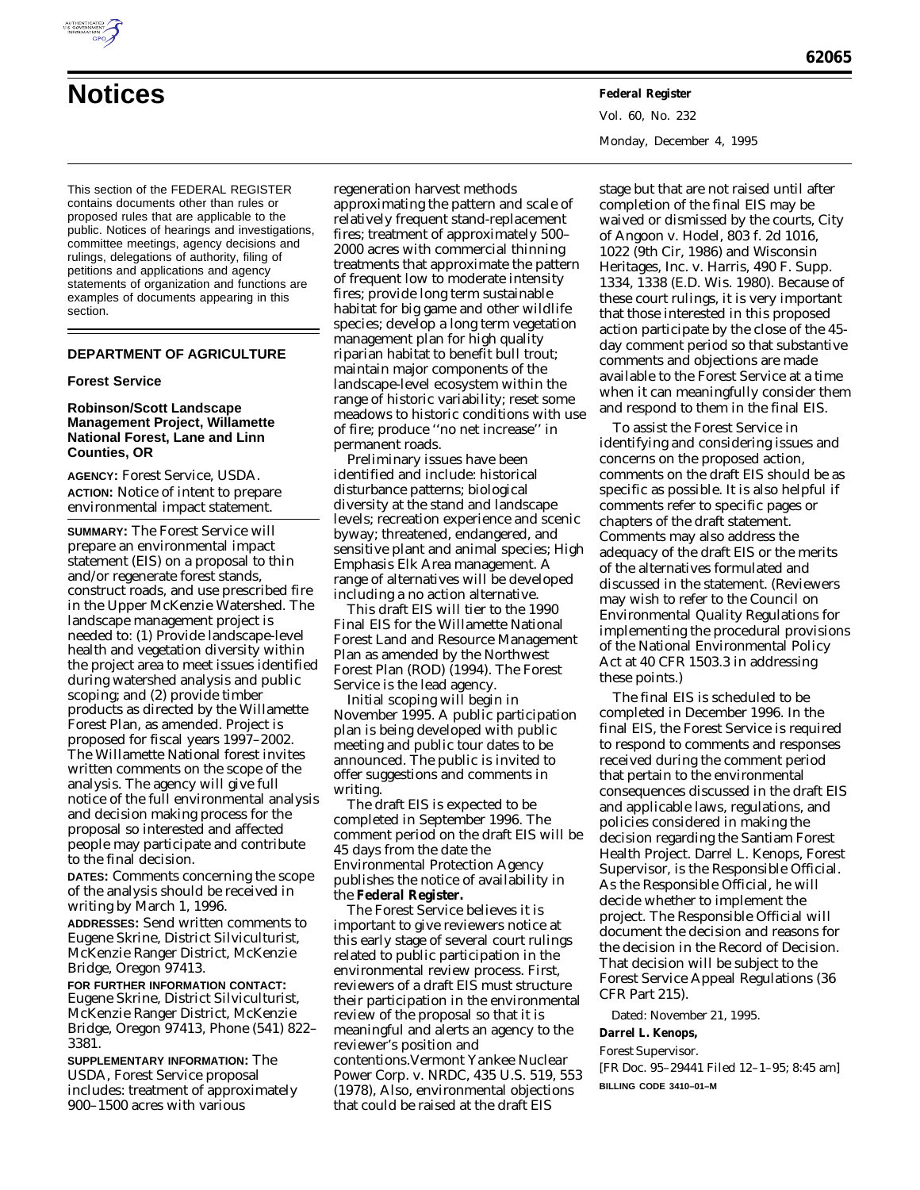

This section of the FEDERAL REGISTER contains documents other than rules or proposed rules that are applicable to the public. Notices of hearings and investigations, committee meetings, agency decisions and rulings, delegations of authority, filing of petitions and applications and agency statements of organization and functions are examples of documents appearing in this section.

## **DEPARTMENT OF AGRICULTURE**

### **Forest Service**

### **Robinson/Scott Landscape Management Project, Willamette National Forest, Lane and Linn Counties, OR**

**AGENCY:** Forest Service, USDA. **ACTION:** Notice of intent to prepare environmental impact statement.

**SUMMARY:** The Forest Service will prepare an environmental impact statement (EIS) on a proposal to thin and/or regenerate forest stands, construct roads, and use prescribed fire in the Upper McKenzie Watershed. The landscape management project is needed to: (1) Provide landscape-level health and vegetation diversity within the project area to meet issues identified during watershed analysis and public scoping; and (2) provide timber products as directed by the Willamette Forest Plan, as amended. Project is proposed for fiscal years 1997–2002. The Willamette National forest invites written comments on the scope of the analysis. The agency will give full notice of the full environmental analysis and decision making process for the proposal so interested and affected people may participate and contribute to the final decision.

**DATES:** Comments concerning the scope of the analysis should be received in writing by March 1, 1996.

**ADDRESSES:** Send written comments to Eugene Skrine, District Silviculturist, McKenzie Ranger District, McKenzie Bridge, Oregon 97413.

**FOR FURTHER INFORMATION CONTACT:** Eugene Skrine, District Silviculturist, McKenzie Ranger District, McKenzie Bridge, Oregon 97413, Phone (541) 822– 3381.

**SUPPLEMENTARY INFORMATION:** The USDA, Forest Service proposal includes: treatment of approximately 900–1500 acres with various

regeneration harvest methods approximating the pattern and scale of relatively frequent stand-replacement fires; treatment of approximately 500– 2000 acres with commercial thinning treatments that approximate the pattern of frequent low to moderate intensity fires; provide long term sustainable habitat for big game and other wildlife species; develop a long term vegetation management plan for high quality riparian habitat to benefit bull trout; maintain major components of the landscape-level ecosystem within the range of historic variability; reset some meadows to historic conditions with use of fire; produce ''no net increase'' in permanent roads.

Preliminary issues have been identified and include: historical disturbance patterns; biological diversity at the stand and landscape levels; recreation experience and scenic byway; threatened, endangered, and sensitive plant and animal species; High Emphasis Elk Area management. A range of alternatives will be developed including a no action alternative.

This draft EIS will tier to the 1990 Final EIS for the Willamette National Forest Land and Resource Management Plan as amended by the Northwest Forest Plan (ROD) (1994). The Forest Service is the lead agency.

Initial scoping will begin in November 1995. A public participation plan is being developed with public meeting and public tour dates to be announced. The public is invited to offer suggestions and comments in writing.

The draft EIS is expected to be completed in September 1996. The comment period on the draft EIS will be 45 days from the date the Environmental Protection Agency publishes the notice of availability in the **Federal Register.**

The Forest Service believes it is important to give reviewers notice at this early stage of several court rulings related to public participation in the environmental review process. First, reviewers of a draft EIS must structure their participation in the environmental review of the proposal so that it is meaningful and alerts an agency to the reviewer's position and contentions.*Vermont Yankee Nuclear Power Corp.* v. *NRDC,* 435 U.S. 519, 553 (1978), Also, environmental objections that could be raised at the draft EIS

Vol. 60, No. 232 Monday, December 4, 1995

stage but that are not raised until after completion of the final EIS may be waived or dismissed by the courts, *City of Angoon* v. *Hodel,* 803 f. 2d 1016, 1022 (9th Cir, 1986) and *Wisconsin Heritages, Inc.* v. *Harris,* 490 F. Supp. 1334, 1338 (E.D. Wis. 1980). Because of these court rulings, it is very important that those interested in this proposed action participate by the close of the 45 day comment period so that substantive comments and objections are made available to the Forest Service at a time when it can meaningfully consider them and respond to them in the final EIS.

To assist the Forest Service in identifying and considering issues and concerns on the proposed action, comments on the draft EIS should be as specific as possible. It is also helpful if comments refer to specific pages or chapters of the draft statement. Comments may also address the adequacy of the draft EIS or the merits of the alternatives formulated and discussed in the statement. (Reviewers may wish to refer to the Council on Environmental Quality Regulations for implementing the procedural provisions of the National Environmental Policy Act at 40 CFR 1503.3 in addressing these points.)

The final EIS is scheduled to be completed in December 1996. In the final EIS, the Forest Service is required to respond to comments and responses received during the comment period that pertain to the environmental consequences discussed in the draft EIS and applicable laws, regulations, and policies considered in making the decision regarding the Santiam Forest Health Project. Darrel L. Kenops, Forest Supervisor, is the Responsible Official. As the Responsible Official, he will decide whether to implement the project. The Responsible Official will document the decision and reasons for the decision in the Record of Decision. That decision will be subject to the Forest Service Appeal Regulations (36 CFR Part 215).

Dated: November 21, 1995.

## **Darrel L. Kenops,**

*Forest Supervisor.*

[FR Doc. 95–29441 Filed 12–1–95; 8:45 am] **BILLING CODE 3410–01–M**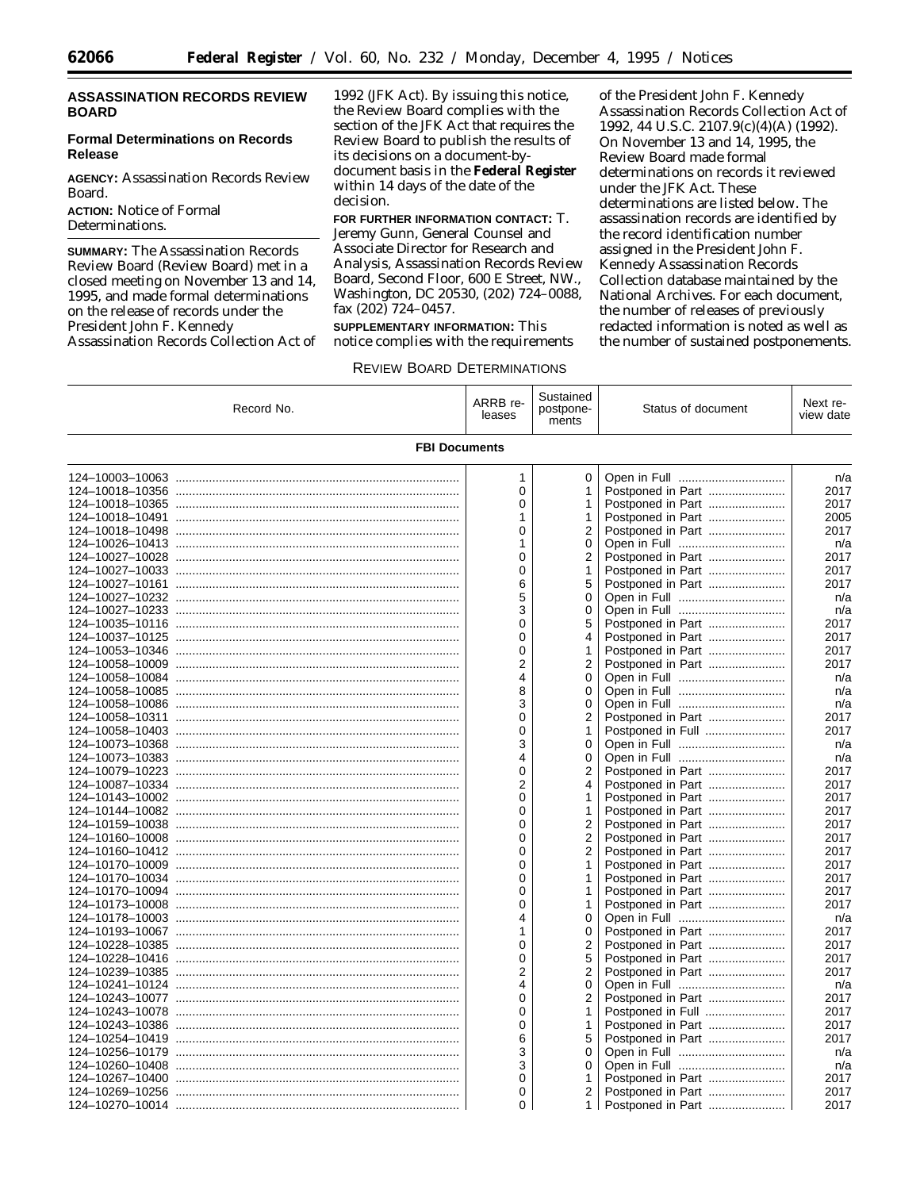## **ASSASSINATION RECORDS REVIEW BOARD**

### **Formal Determinations on Records Release**

**AGENCY:** Assassination Records Review Board. **ACTION:** Notice of Formal Determinations.

**SUMMARY:** The Assassination Records Review Board (Review Board) met in a closed meeting on November 13 and 14, 1995, and made formal determinations on the release of records under the President John F. Kennedy Assassination Records Collection Act of 1992 (JFK Act). By issuing this notice, the Review Board complies with the section of the JFK Act that requires the Review Board to publish the results of its decisions on a document-bydocument basis in the **Federal Register** within 14 days of the date of the decision.

**FOR FURTHER INFORMATION CONTACT:** T. Jeremy Gunn, General Counsel and Associate Director for Research and Analysis, Assassination Records Review Board, Second Floor, 600 E Street, NW., Washington, DC 20530, (202) 724–0088, fax (202) 724–0457.

**SUPPLEMENTARY INFORMATION:** This notice complies with the requirements

of the President John F. Kennedy Assassination Records Collection Act of 1992, 44 U.S.C. 2107.9(c)(4)(A) (1992). On November 13 and 14, 1995, the Review Board made formal determinations on records it reviewed under the JFK Act. These determinations are listed below. The assassination records are identified by the record identification number assigned in the President John F. Kennedy Assassination Records Collection database maintained by the National Archives. For each document, the number of releases of previously redacted information is noted as well as the number of sustained postponements.

### REVIEW BOARD DETERMINATIONS

| Record No.           | ARRB re-<br>leases | Sustained<br>postpone-<br>ments | Status of document | Next re-<br>view date |  |
|----------------------|--------------------|---------------------------------|--------------------|-----------------------|--|
| <b>FBI Documents</b> |                    |                                 |                    |                       |  |
|                      | 1                  | 0                               |                    | n/a                   |  |
|                      | 0                  | 1                               | Postponed in Part  | 2017                  |  |
|                      | 0                  | 1                               |                    | 2017                  |  |
|                      | 1                  | 1                               | Postponed in Part  | 2005                  |  |
|                      | 0                  | 2                               | Postponed in Part  | 2017                  |  |
|                      | 1                  | 0                               |                    | n/a                   |  |
|                      | 0                  | 2                               | Postponed in Part  | 2017                  |  |
|                      | 0                  | 1                               | Postponed in Part  | 2017                  |  |
|                      | 6                  | 5                               | Postponed in Part  | 2017                  |  |
|                      | 5                  | 0                               |                    | n/a                   |  |
|                      | 3                  | 0                               |                    | n/a                   |  |
|                      | $\Omega$           | 5                               | Postponed in Part  | 2017                  |  |
|                      | 0                  | 4                               | Postponed in Part  | 2017                  |  |
|                      | 0                  | 1                               |                    | 2017                  |  |
|                      | 2                  | 2                               | Postponed in Part  | 2017                  |  |
|                      | 4                  | 0                               |                    | n/a                   |  |
|                      | 8                  | 0                               |                    | n/a                   |  |
|                      | 3                  | 0                               |                    | n/a                   |  |
|                      | 0                  | 2                               | Postponed in Part  | 2017                  |  |
|                      | $\Omega$           | 1                               | Postponed in Full  | 2017                  |  |
|                      | 3                  | 0                               |                    | n/a                   |  |
|                      | 4                  | 0                               |                    | n/a                   |  |
|                      | 0                  | 2                               | Postponed in Part  | 2017                  |  |
|                      | 2                  | 4                               | Postponed in Part  | 2017                  |  |
|                      | 0                  | 1                               | Postponed in Part  | 2017                  |  |
|                      | 0                  | 1                               | Postponed in Part  | 2017                  |  |
|                      | 0                  | 2                               | Postponed in Part  | 2017                  |  |
|                      | 0                  | 2                               | Postponed in Part  | 2017                  |  |
|                      | 0                  | 2                               | Postponed in Part  | 2017                  |  |
|                      | 0                  | 1                               | Postponed in Part  | 2017                  |  |
|                      | 0                  | 1                               | Postponed in Part  | 2017                  |  |
|                      | 0                  | 1                               | Postponed in Part  | 2017                  |  |
|                      | 0                  | 1                               | Postponed in Part  | 2017                  |  |
|                      | 4                  | 0                               | Open in Full       | n/a                   |  |
|                      | 1                  | 0                               | Postponed in Part  | 2017                  |  |
|                      | $\overline{0}$     | 2                               | Postponed in Part  | 2017                  |  |
|                      | 0                  | 5                               | Postponed in Part  | 2017                  |  |
|                      | 2                  | 2                               | Postponed in Part  | 2017                  |  |
|                      | 4                  | 0                               |                    | n/a                   |  |
|                      | 0                  | 2                               | Postponed in Part  | 2017                  |  |
|                      | 0                  | 1                               | Postponed in Full  | 2017                  |  |
|                      | 0                  | 1                               | Postponed in Part  | 2017                  |  |
|                      | 6                  | 5                               | Postponed in Part  | 2017                  |  |
|                      | 3                  | 0                               |                    | n/a                   |  |
| 124-10260-10408      | 3                  | 0                               |                    | n/a                   |  |
|                      | 0                  | 1                               | Postponed in Part  | 2017                  |  |
|                      | 0                  | 2                               | Postponed in Part  | 2017                  |  |
|                      | 0                  | 1.                              | Postponed in Part  | 2017                  |  |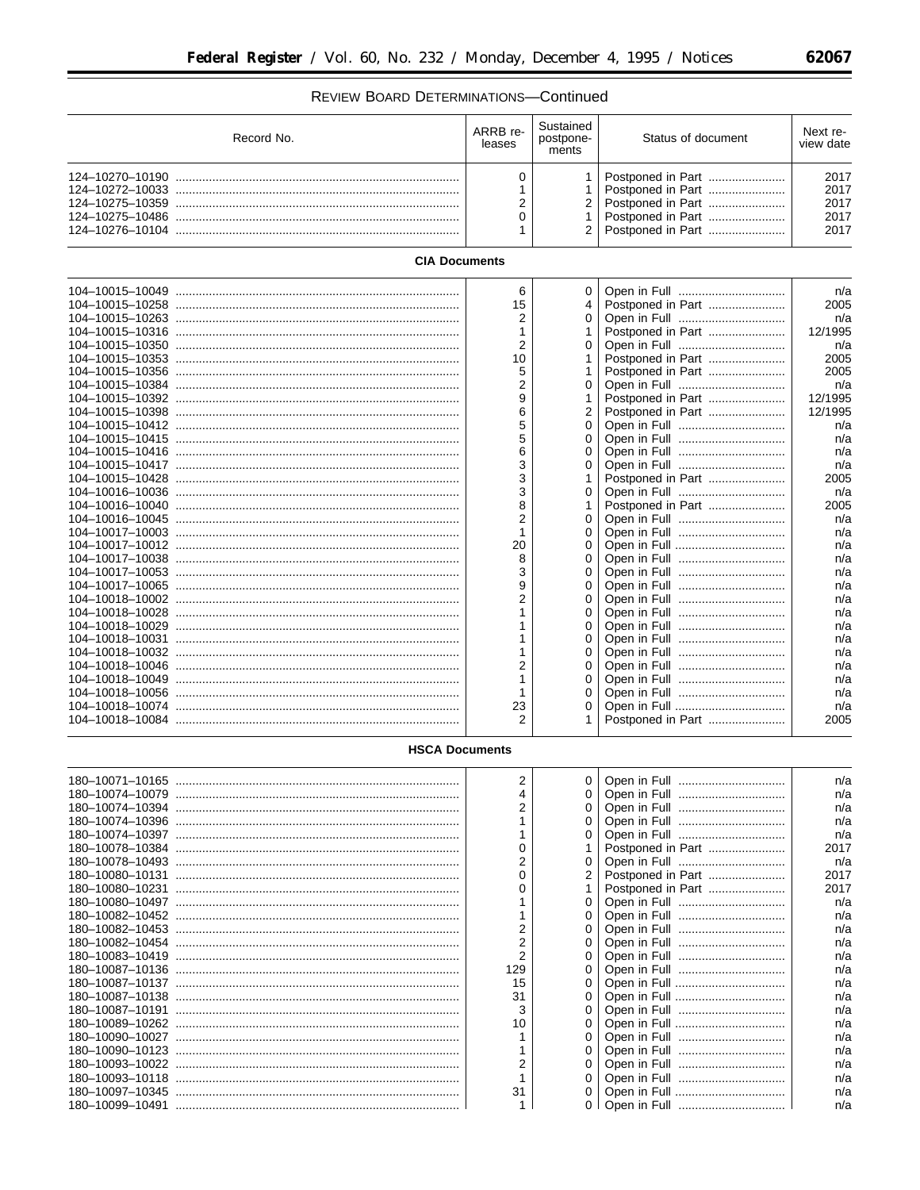# REVIEW BOARD DETERMINATIONS-Continued

| Record No. | ARRB re-<br>leases | Sustained<br>postpone-<br>ments | Status of document                                                                                            | Next re-<br>view date                |
|------------|--------------------|---------------------------------|---------------------------------------------------------------------------------------------------------------|--------------------------------------|
|            |                    |                                 | Postponed in Part<br>Postponed in Part<br>2   Postponed in Part<br>Postponed in Part<br>2   Postponed in Part | 2017<br>2017<br>2017<br>2017<br>2017 |

# **CIA Documents**

|                 | 6              | 0        |                   | n/a     |
|-----------------|----------------|----------|-------------------|---------|
|                 | 15             | 4        | Postponed in Part | 2005    |
|                 | 2              | 0        |                   | n/a     |
|                 |                |          | Postponed in Part | 12/1995 |
|                 | $\overline{2}$ | 0        |                   | n/a     |
|                 | 10             |          | Postponed in Part | 2005    |
|                 | 5              |          | Postponed in Part | 2005    |
|                 | $\overline{2}$ | 0        |                   | n/a     |
|                 | 9              |          | Postponed in Part | 12/1995 |
|                 | 6              | 2        | Postponed in Part | 12/1995 |
|                 | 5              | 0        |                   | n/a     |
|                 | 5              | 0        |                   | n/a     |
|                 | 6              | $\Omega$ |                   | n/a     |
|                 | 3              | $\Omega$ |                   | n/a     |
|                 | 3              |          | Postponed in Part | 2005    |
|                 | 3              | 0        |                   | n/a     |
|                 | 8              |          | Postponed in Part | 2005    |
|                 | $\mathfrak{p}$ | $\Omega$ |                   | n/a     |
|                 |                | 0        |                   | n/a     |
|                 | 20             | 0        |                   | n/a     |
|                 | 8              | 0        |                   | n/a     |
|                 | 3              | $\Omega$ |                   | n/a     |
|                 | 9              | 0        |                   | n/a     |
|                 | $\mathfrak{p}$ | $\Omega$ |                   | n/a     |
|                 |                | $\Omega$ |                   | n/a     |
|                 |                | 0        |                   | n/a     |
|                 |                | $\Omega$ |                   | n/a     |
|                 |                | 0        |                   | n/a     |
| 104-10018-10046 | 2              | $\Omega$ |                   | n/a     |
|                 |                | $\Omega$ |                   | n/a     |
|                 |                | 0        |                   | n/a     |
|                 | 23             | 0        |                   | n/a     |
|                 | 2              |          | Postponed in Part | 2005    |
|                 |                |          |                   |         |

## **HSCA Documents** T

| $\overline{2}$ | 0              |                   | n/a  |
|----------------|----------------|-------------------|------|
|                | 0              |                   | n/a  |
|                |                |                   | n/a  |
|                |                |                   | n/a  |
|                |                |                   | n/a  |
|                |                | Postponed in Part | 2017 |
|                | 0              |                   | n/a  |
|                |                | Postponed in Part | 2017 |
|                |                |                   | 2017 |
|                |                |                   | n/a  |
|                |                |                   | n/a  |
|                |                |                   | n/a  |
|                | 0              |                   | n/a  |
|                |                |                   | n/a  |
| 129            | 0              |                   | n/a  |
| 15             |                |                   | n/a  |
| 31             | 0              |                   | n/a  |
| 3              |                |                   | n/a  |
| 10             | 0              |                   | n/a  |
|                |                |                   | n/a  |
|                | 0              |                   | n/a  |
|                |                |                   | n/a  |
|                | 0              |                   | n/a  |
| 31             |                |                   | n/a  |
|                | 0 <sup>1</sup> |                   | n/a  |

 $\equiv$